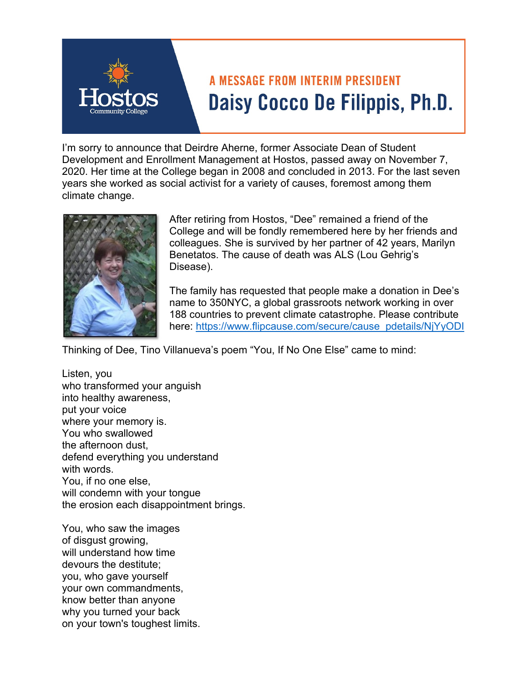

## **A MESSAGE FROM INTERIM PRESIDENT** Daisy Cocco De Filippis, Ph.D.

I'm sorry to announce that Deirdre Aherne, former Associate Dean of Student Development and Enrollment Management at Hostos, passed away on November 7, 2020. Her time at the College began in 2008 and concluded in 2013. For the last seven years she worked as social activist for a variety of causes, foremost among them climate change.



After retiring from Hostos, "Dee" remained a friend of the College and will be fondly remembered here by her friends and colleagues. She is survived by her partner of 42 years, Marilyn Benetatos. The cause of death was ALS (Lou Gehrig's Disease).

The family has requested that people make a donation in Dee's name to 350NYC, a global grassroots network working in over 188 countries to prevent climate catastrophe. Please contribute here: https://www.flipcause.com/secure/cause\_pdetails/NjYyODI

Thinking of Dee, Tino Villanueva's poem "You, If No One Else" came to mind:

Listen, you who transformed your anguish into healthy awareness, put your voice where your memory is. You who swallowed the afternoon dust, defend everything you understand with words. You, if no one else, will condemn with your tongue the erosion each disappointment brings.

You, who saw the images of disgust growing, will understand how time devours the destitute; you, who gave yourself your own commandments, know better than anyone why you turned your back on your town's toughest limits.